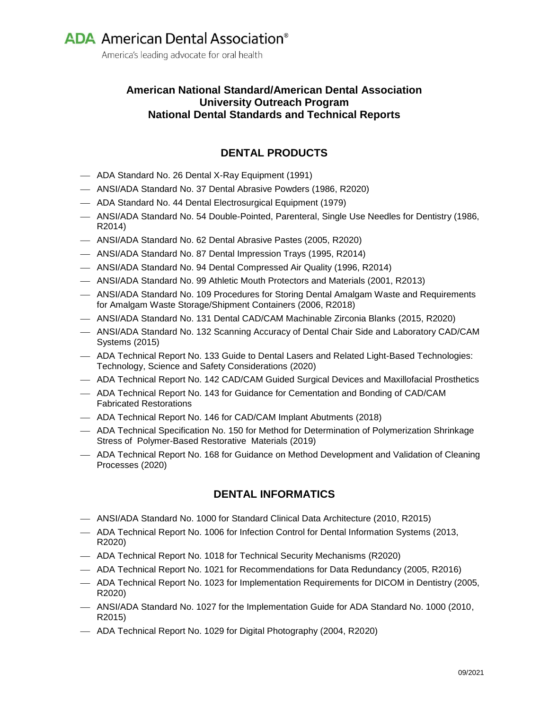America's leading advocate for oral health

### **American National Standard/American Dental Association University Outreach Program National Dental Standards and Technical Reports**

## **DENTAL PRODUCTS**

- ADA Standard No. 26 Dental X-Ray Equipment (1991)
- ANSI/ADA Standard No. 37 Dental Abrasive Powders (1986, R2020)
- ADA Standard No. 44 Dental Electrosurgical Equipment (1979)
- ANSI/ADA Standard No. 54 Double-Pointed, Parenteral, Single Use Needles for Dentistry (1986, R2014)
- ANSI/ADA Standard No. 62 Dental Abrasive Pastes (2005, R2020)
- ANSI/ADA Standard No. 87 Dental Impression Trays (1995, R2014)
- ANSI/ADA Standard No. 94 Dental Compressed Air Quality (1996, R2014)
- ANSI/ADA Standard No. 99 Athletic Mouth Protectors and Materials (2001, R2013)
- ANSI/ADA Standard No. 109 Procedures for Storing Dental Amalgam Waste and Requirements for Amalgam Waste Storage/Shipment Containers (2006, R2018)
- ANSI/ADA Standard No. 131 Dental CAD/CAM Machinable Zirconia Blanks (2015, R2020)
- ANSI/ADA Standard No. 132 Scanning Accuracy of Dental Chair Side and Laboratory CAD/CAM Systems (2015)
- ADA Technical Report No. 133 Guide to Dental Lasers and Related Light-Based Technologies: Technology, Science and Safety Considerations (2020)
- ADA Technical Report No. 142 CAD/CAM Guided Surgical Devices and Maxillofacial Prosthetics
- ADA Technical Report No. 143 for Guidance for Cementation and Bonding of CAD/CAM Fabricated Restorations
- ADA Technical Report No. 146 for CAD/CAM Implant Abutments (2018)
- ADA Technical Specification No. 150 for Method for Determination of Polymerization Shrinkage Stress of Polymer-Based Restorative Materials (2019)
- ADA Technical Report No. 168 for Guidance on Method Development and Validation of Cleaning Processes (2020)

#### **DENTAL INFORMATICS**

- ANSI/ADA Standard No. 1000 for Standard Clinical Data Architecture (2010, R2015)
- ADA Technical Report No. 1006 for Infection Control for Dental Information Systems (2013, R2020)
- ADA Technical Report No. 1018 for Technical Security Mechanisms (R2020)
- ADA Technical Report No. 1021 for Recommendations for Data Redundancy (2005, R2016)
- ADA Technical Report No. 1023 for Implementation Requirements for DICOM in Dentistry (2005, R2020)
- ANSI/ADA Standard No. 1027 for the Implementation Guide for ADA Standard No. 1000 (2010, R2015)
- ADA Technical Report No. 1029 for Digital Photography (2004, R2020)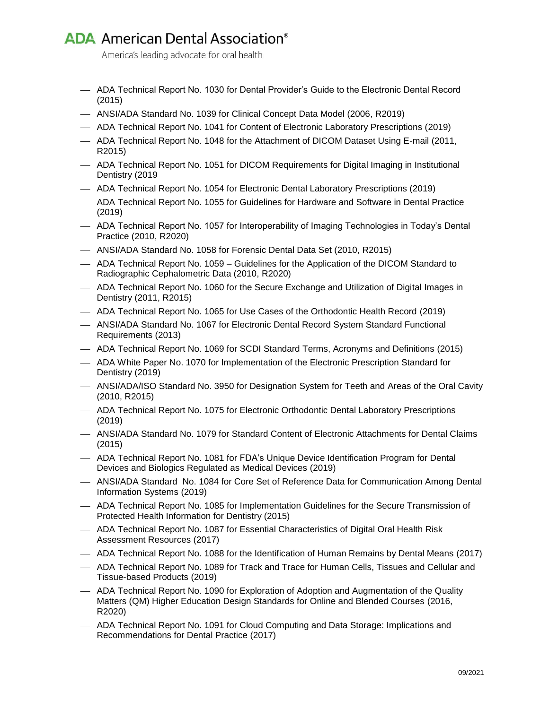## **ADA** American Dental Association<sup>®</sup>

America's leading advocate for oral health

- ADA Technical Report No. 1030 for Dental Provider's Guide to the Electronic Dental Record (2015)
- ANSI/ADA Standard No. 1039 for Clinical Concept Data Model (2006, R2019)
- ADA Technical Report No. 1041 for Content of Electronic Laboratory Prescriptions (2019)
- ADA Technical Report No. 1048 for the Attachment of DICOM Dataset Using E-mail (2011, R2015)
- ADA Technical Report No. 1051 for DICOM Requirements for Digital Imaging in Institutional Dentistry (2019
- ADA Technical Report No. 1054 for Electronic Dental Laboratory Prescriptions (2019)
- ADA Technical Report No. 1055 for Guidelines for Hardware and Software in Dental Practice (2019)
- ADA Technical Report No. 1057 for Interoperability of Imaging Technologies in Today's Dental Practice (2010, R2020)
- ANSI/ADA Standard No. 1058 for Forensic Dental Data Set (2010, R2015)
- ADA Technical Report No. 1059 Guidelines for the Application of the DICOM Standard to Radiographic Cephalometric Data (2010, R2020)
- ADA Technical Report No. 1060 for the Secure Exchange and Utilization of Digital Images in Dentistry (2011, R2015)
- ADA Technical Report No. 1065 for Use Cases of the Orthodontic Health Record (2019)
- ANSI/ADA Standard No. 1067 for Electronic Dental Record System Standard Functional Requirements (2013)
- ADA Technical Report No. 1069 for SCDI Standard Terms, Acronyms and Definitions (2015)
- ADA White Paper No. 1070 for Implementation of the Electronic Prescription Standard for Dentistry (2019)
- ANSI/ADA/ISO Standard No. 3950 for Designation System for Teeth and Areas of the Oral Cavity (2010, R2015)
- ADA Technical Report No. 1075 for Electronic Orthodontic Dental Laboratory Prescriptions (2019)
- ANSI/ADA Standard No. 1079 for Standard Content of Electronic Attachments for Dental Claims (2015)
- ADA Technical Report No. 1081 for FDA's Unique Device Identification Program for Dental Devices and Biologics Regulated as Medical Devices (2019)
- ANSI/ADA Standard No. 1084 for Core Set of Reference Data for Communication Among Dental Information Systems (2019)
- ADA Technical Report No. 1085 for Implementation Guidelines for the Secure Transmission of Protected Health Information for Dentistry (2015)
- ADA Technical Report No. 1087 for Essential Characteristics of Digital Oral Health Risk Assessment Resources (2017)
- ADA Technical Report No. 1088 for the Identification of Human Remains by Dental Means (2017)
- ADA Technical Report No. 1089 for Track and Trace for Human Cells, Tissues and Cellular and Tissue-based Products (2019)
- ADA Technical Report No. 1090 for Exploration of Adoption and Augmentation of the Quality Matters (QM) Higher Education Design Standards for Online and Blended Courses (2016, R2020)
- ADA Technical Report No. 1091 for Cloud Computing and Data Storage: Implications and Recommendations for Dental Practice (2017)